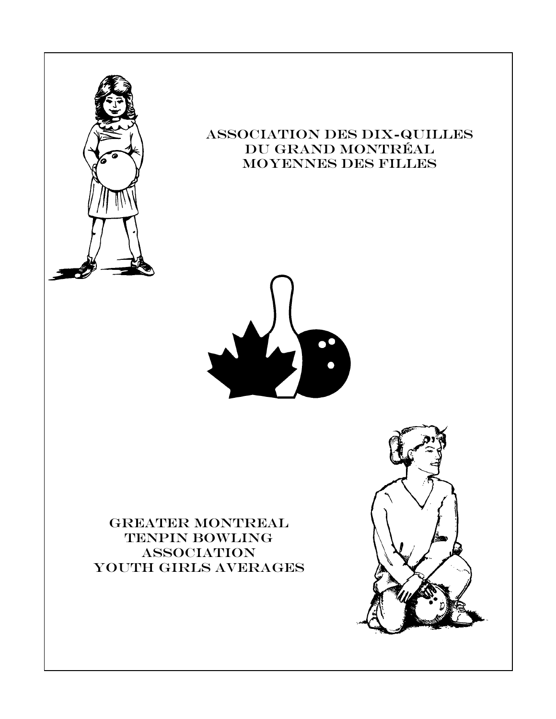

## Association des Dix-Quilles Du grand MontrÉal Moyennes des filles



## GREATER MONTREAL TENPIN BOWLING **ASSOCIATION** YOUTH GIRLS AVERAGES